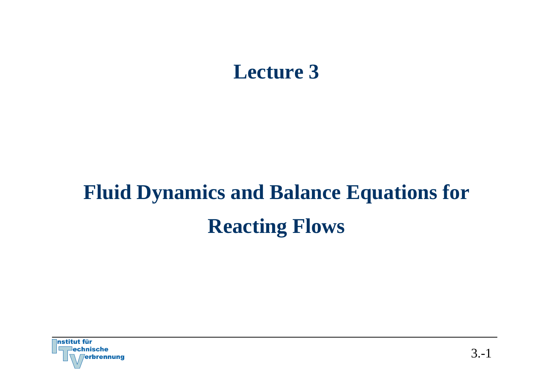# **Lecture 3**

# **Fluid Dynamics and Balance Equations for Reacting Flows**

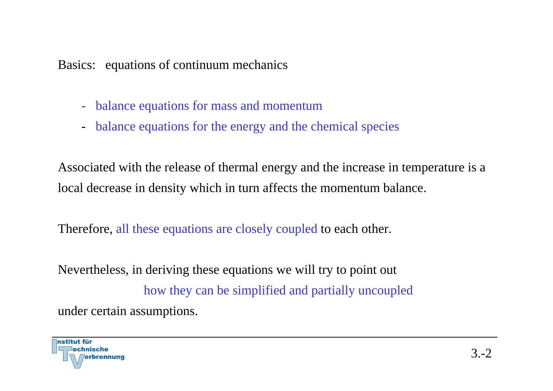Basics: equations of continuum mechanics

- balance equations for mass and momentum
- balance equations for the energy and the chemical species

Associated with the release of thermal energy and the increase in temperature is a local decrease in density which in turn affects the momentum balance.

Therefore, all these equations are closely coupled to each other.

Nevertheless, in deriving these equations we will try to point out how they can be simplified and partially uncoupled under certain assumptions.

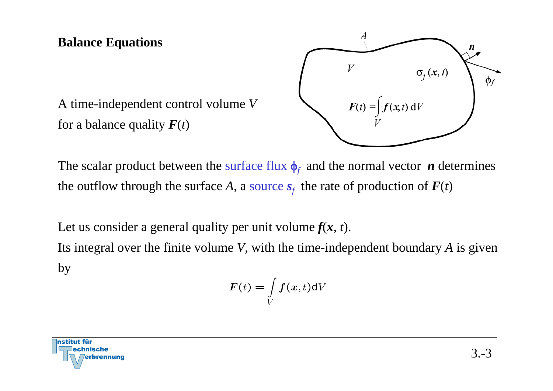# **Balance Equations**



A time-independent control volume *V* for a balance quality  $F(t)$ 

The scalar product between the surface flux  $\phi_f$  and the normal vector *n* determines the outflow through the surface A, a source  $s_f$  the rate of production of  $F(t)$ 

Let us consider a general quality per unit volume  $f(x, t)$ .

Its integral over the finite volume *V*, with the time-independent boundary *A* is given by

$$
F(t)=\int\limits_{V}f(x,t)\mathrm{d}V
$$

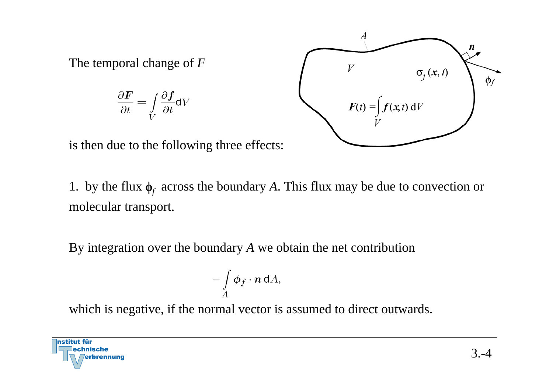The temporal change of *F*

$$
\frac{\partial \boldsymbol{F}}{\partial t} = \int\limits_{V} \frac{\partial \boldsymbol{f}}{\partial t} \mathrm{dV}
$$



is then due to the following three effects:

1. by the flux  $\phi_f$  across the boundary A. This flux may be due to convection or molecular transport.

By integration over the boundary *A* we obtain the net contribution

$$
-\int\limits_A \boldsymbol{\phi}_f\cdot\boldsymbol{n}\,\mathsf{d} A,
$$

which is negative, if the normal vector is assumed to direct outwards.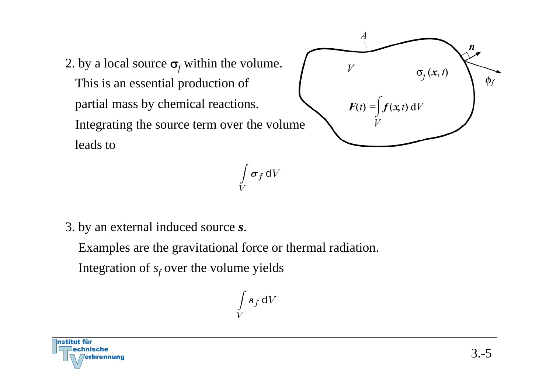2. by a local source  $\sigma_f$  within the volume. This is an essential production of partial mass by chemical reactions. Integrating the source term over the volume leads to



 $\int \boldsymbol{\sigma}_f \, \mathsf{d} V$ 

3. by an external induced source *<sup>s</sup>*.

Examples are the gravitational force or thermal radiation.

Integration of  $s_f$  over the volume yields

$$
\int\limits_V \boldsymbol{s}_f \, \mathsf{d}V
$$

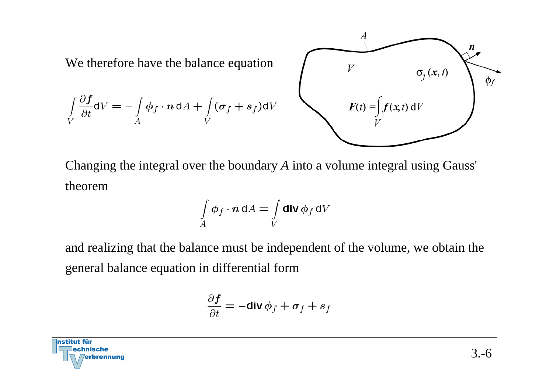

Changing the integral over the boundary *A* into a volume integral using Gauss' theorem

$$
\int\limits_A \phi_f \cdot n \, \mathrm{d}A = \int\limits_V \mathsf{div} \, \phi_f \, \mathrm{d}V
$$

and realizing that the balance must be independent of the volume, we obtain the general balance equation in differential form

$$
\frac{\partial \boldsymbol{f}}{\partial t} = -\mathbf{div} \, \boldsymbol{\phi}_f + \boldsymbol{\sigma}_f + \boldsymbol{s}_f
$$

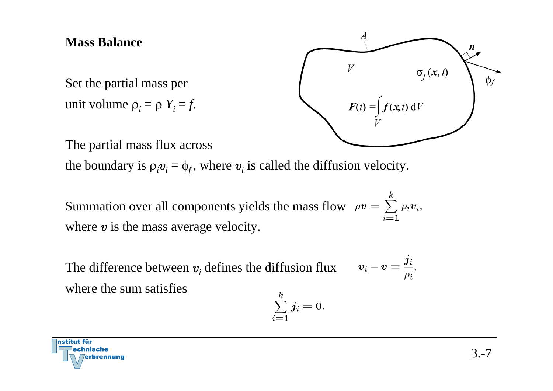### **Mass Balance**

Set the partial mass per unit volume  $\rho_i = \rho Y_i = f$ .



The partial mass flux across

the boundary is  $\rho_i v_i = \phi_f$ , where  $v_i$  is called the diffusion velocity.

Summation over all components yields the mass flow  $ho v = \sum_{i=1}^{n} \rho_i v_i$ , where  $v$  is the mass average velocity.

 $v_i-v=\frac{j_i}{\rho_i},$ The difference between <sup>v</sup>*i* defines the diffusion flux where the sum satisfies

$$
\sum_{i=1}^k j_i=0.
$$

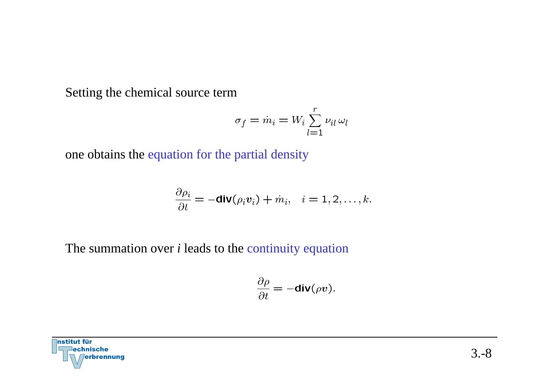Setting the chemical source term

$$
\sigma_f = \dot{m}_i = W_i \sum_{l=1}^r \nu_{il} \,\omega_l
$$

one obtains the equation for the partial density

$$
\frac{\partial \rho_i}{\partial t} = -\mathbf{div}(\rho_i \mathbf{v}_i) + \dot{m}_i, \quad i = 1, 2, \dots, k.
$$

The summation over *i* leads to the continuity equation

$$
\frac{\partial \rho}{\partial t} = -\mathbf{div}(\rho v).
$$

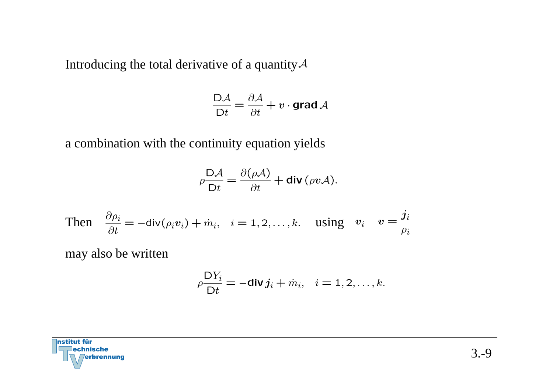Introducing the total derivative of a quantity  $A$ 

$$
\frac{\mathsf{D}\mathcal{A}}{\mathsf{D}t} = \frac{\partial \mathcal{A}}{\partial t} + v \cdot \mathsf{grad}\, \mathcal{A}
$$

a combination with the continuity equation yields

$$
\rho \frac{\mathsf{D}\mathcal{A}}{\mathsf{D}t} = \frac{\partial(\rho \mathcal{A})}{\partial t} + \mathbf{div}(\rho v \mathcal{A}).
$$

Then 
$$
\frac{\partial \rho_i}{\partial t} = -\text{div}(\rho_i v_i) + \dot{m}_i
$$
,  $i = 1, 2, ..., k$ . using  $v_i - v = \frac{j_i}{\rho_i}$ 

may also be written

$$
\rho \frac{\mathsf{D} Y_i}{\mathsf{D} t} = -\mathbf{div} \, \mathbf{j}_i + \dot{m}_i, \quad i = 1, 2, \dots, k.
$$

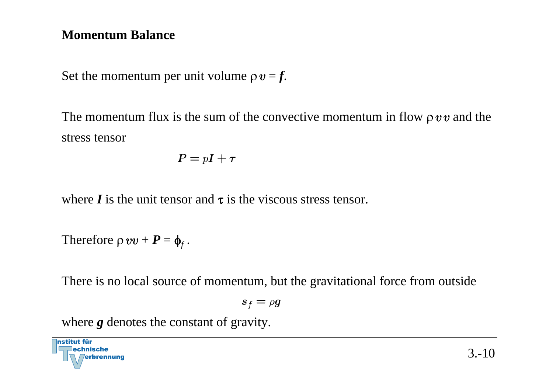# **Momentum Balance**

Set the momentum per unit volume  $\rho v = f$ .

The momentum flux is the sum of the convective momentum in flow  $\rho v v$  and the stress tensor

$$
P = pI + \tau
$$

where  $\bm{I}$  is the unit tensor and  $\bm{\tau}$  is the viscous stress tensor.

Therefore  $\rho vv + P = \phi_f$ .

There is no local source of momentum, but the gravitational force from outside

$$
s_f=\rho g
$$

where *g* denotes the constant of gravity.

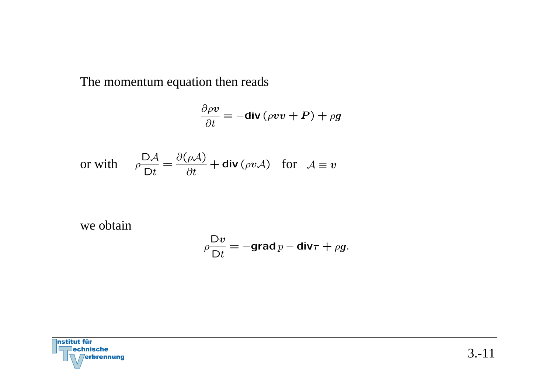The momentum equation then reads

$$
\frac{\partial \rho v}{\partial t} = -\text{div}\left(\rho v v + P\right) + \rho g
$$

or with 
$$
\rho \frac{D\mathcal{A}}{Dt} = \frac{\partial(\rho \mathcal{A})}{\partial t} + \text{div}(\rho v \mathcal{A})
$$
 for  $\mathcal{A} \equiv v$ 

 $\overline{a}$ 

we obtain

$$
\rho \frac{\mathsf{D} v}{\mathsf{D} t} = -\mathsf{grad}\, p - \mathsf{div}\boldsymbol{\tau} + \rho g.
$$

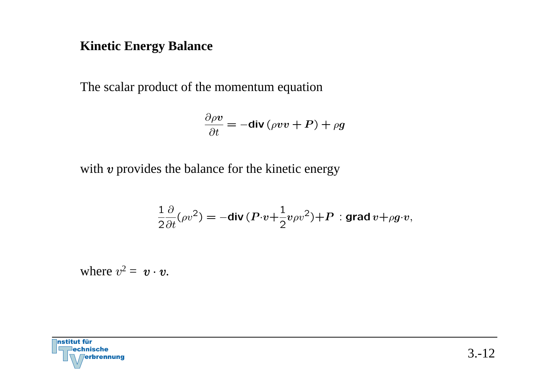#### **Kinetic Energy Balance**

The scalar product of the momentum equation

$$
\frac{\partial \rho \boldsymbol{v}}{\partial t} = -\text{div}\left(\rho \boldsymbol{v} \boldsymbol{v} + \boldsymbol{P}\right) + \rho \boldsymbol{g}
$$

with  $v$  provides the balance for the kinetic energy

$$
\frac{1}{2}\frac{\partial}{\partial t}(\rho v^2) = -\text{div}\,(P \cdot v + \frac{1}{2}v\rho v^2) + P
$$
: grad  $v + \rho g \cdot v$ ,

where  $v^2 = v \cdot v$ .

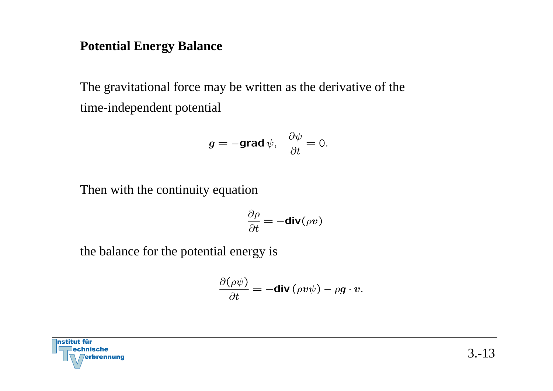#### **Potential Energy Balance**

The gravitational force may be written as the derivative of the time-independent potential

$$
g = -\text{grad}\,\psi, \quad \frac{\partial \psi}{\partial t} = 0.
$$

Then with the continuity equation

$$
\frac{\partial \rho}{\partial t} = -\mathbf{div}(\rho \mathbf{v})
$$

the balance for the potential energy is

$$
\frac{\partial(\rho\psi)}{\partial t} = -\mathbf{div}(\rho v\psi) - \rho g \cdot v.
$$

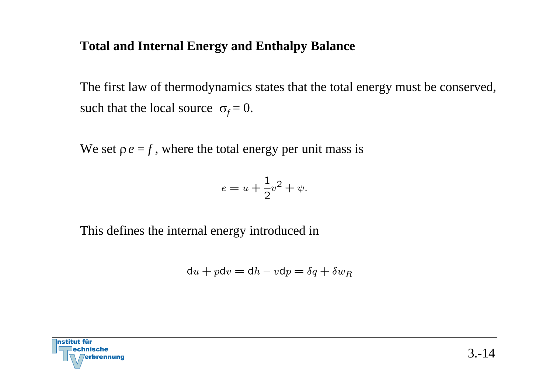#### **Total and Internal Energy and Enthalpy Balance**

The first law of thermodynamics states that the total energy must be conserved, such that the local source  $\sigma_f = 0$ .

We set  $\rho e = f$ , where the total energy per unit mass is

$$
e = u + \frac{1}{2}v^2 + \psi.
$$

This defines the internal energy introduced in

$$
du + p dv = dh - v dp = \delta q + \delta w_R
$$

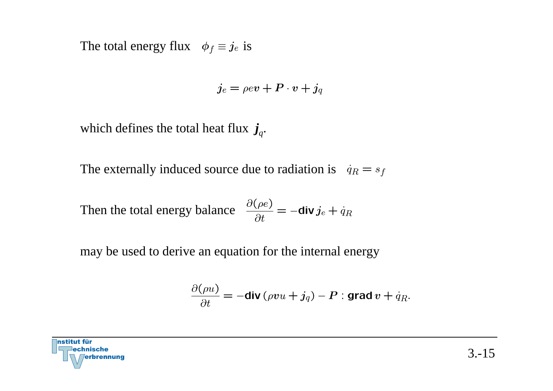The total energy flux  $\phi_f \equiv j_e$  is

$$
j_e = \rho ev + P \cdot v + j_q
$$

which defines the total heat flux  $j_q$ .

The externally induced source due to radiation is  $\dot{q}_R = s_f$ 

Then the total energy balance 
$$
\frac{\partial(\rho e)}{\partial t} = -\text{div } j_e + \dot{q}_R
$$

may be used to derive an equation for the internal energy

$$
\frac{\partial(\rho u)}{\partial t} = -\text{div}(\rho vu + j_q) - P : \text{grad } v + q_R.
$$

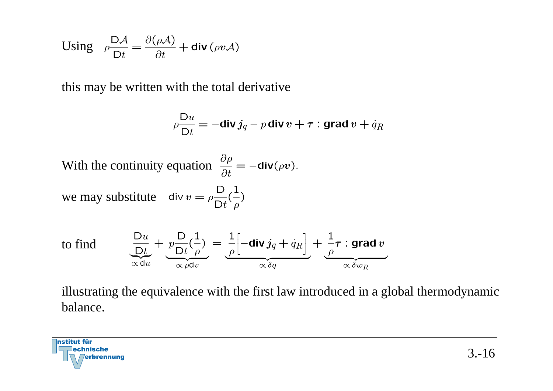Using 
$$
\rho \frac{\mathsf{D}\mathcal{A}}{\mathsf{D}t} = \frac{\partial(\rho \mathcal{A})}{\partial t} + \mathsf{div}(\rho v \mathcal{A})
$$

this may be written with the total derivative

$$
\rho \frac{\mathsf{D} u}{\mathsf{D} t} = -\mathbf{div} j_q - p \mathbf{div} v + \boldsymbol{\tau} : \mathbf{grad} v + \dot{q}_R
$$

With the continuity equation  $\frac{\partial \rho}{\partial t} = -\text{div}(\rho v)$ .

we may substitute  $\operatorname{div} v = \rho \frac{D}{Dt} (\frac{1}{\rho})$ 

to find

$$
\underbrace{\frac{\mathsf{D}u}{\mathsf{D}t}}_{\propto \mathsf{d}u} + \underbrace{p\frac{\mathsf{D}}{\mathsf{D}t}\left(\frac{1}{\rho}\right)}_{\propto p\mathsf{d}v} = \underbrace{\frac{1}{\rho}\left[-\mathsf{div}\,j_q + \dot{q}_R\right]}_{\propto \delta q} + \underbrace{\frac{1}{\rho}\tau : \mathsf{grad}\,v}_{\propto \delta w_R}
$$

illustrating the equivalence with the first law introduced in a global thermodynamic balance.

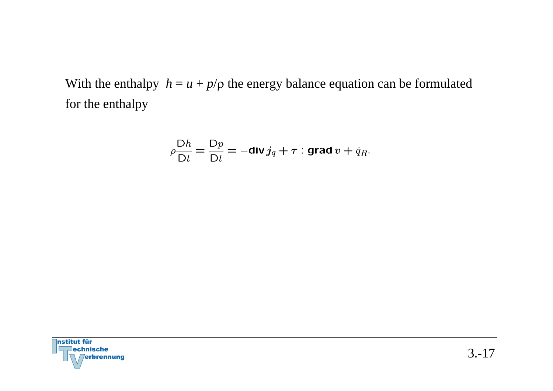With the enthalpy  $h = u + p/\rho$  the energy balance equation can be formulated for the enthalpy

$$
\rho \frac{\mathsf{D}h}{\mathsf{D}t} = \frac{\mathsf{D}p}{\mathsf{D}t} = -\mathbf{div}\, j_q + \tau : \mathbf{grad}\, v + \dot{q}_R.
$$

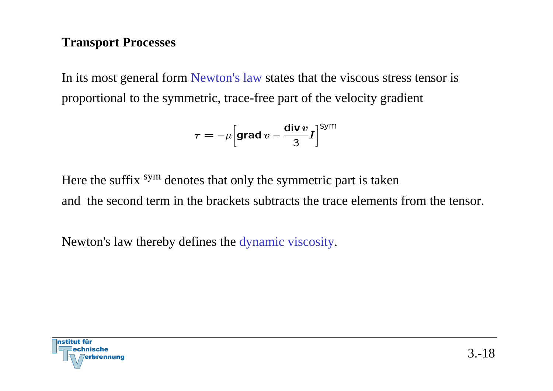## **Transport Processes**

In its most general form Newton's law states that the viscous stress tensor is proportional to the symmetric, trace-free part of the velocity gradient

$$
\tau=-\mu\Big[{\rm grad}\,v-\frac{{\rm div}\,v}{3}I\Big]^{\rm Sym}
$$

Here the suffix <sup>sym</sup> denotes that only the symmetric part is taken and the second term in the brackets subtracts the trace elements from the tensor.

Newton's law thereby defines the dynamic viscosity.

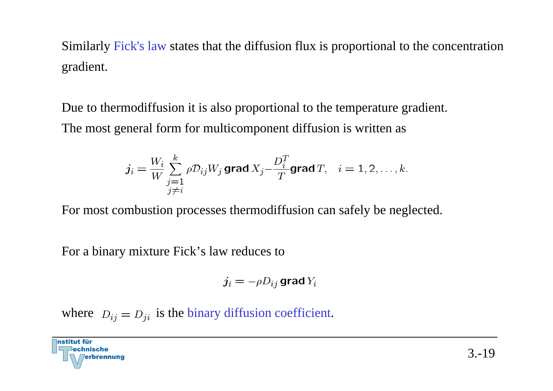Similarly Fick's law states that the diffusion flux is proportional to the concentration gradient.

Due to thermodiffusion it is also proportional to the temperature gradient. The most general form for multicomponent diffusion is written as

$$
j_i = \frac{W_i}{W} \sum_{\substack{j=1 \ j \neq i}}^k \rho \mathcal{D}_{ij} W_j \text{ grad } X_j - \frac{D_i^T}{T} \text{grad } T, \quad i = 1, 2, \dots, k.
$$

For most combustion processes thermodiffusion can safely be neglected.

For a binary mixture Fick's law reduces to

$$
j_i = -\rho D_{ij} \, \text{grad} \, Y_i
$$

where  $D_{ij} = D_{ji}$  is the binary diffusion coefficient.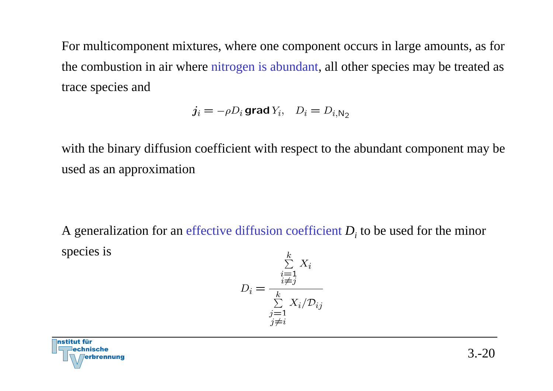For multicomponent mixtures, where one component occurs in large amounts, as for the combustion in air where nitrogen is abundant, all other species may be treated as trace species and

$$
j_i = -\rho D_i \text{ grad } Y_i, \quad D_i = D_{i, N_2}
$$

with the binary diffusion coefficient with respect to the abundant component may be used as an approximation

A generalization for an effective diffusion coefficient *Di* to be used for the minor species is  $\mathbf{L}$ 

$$
D_i = \frac{\sum_{\substack{i=1 \ \ i \neq j}}^{\kappa} X_i}{\sum_{\substack{j=1 \ j \neq i}}^k X_i / \mathcal{D}_{ij}}
$$

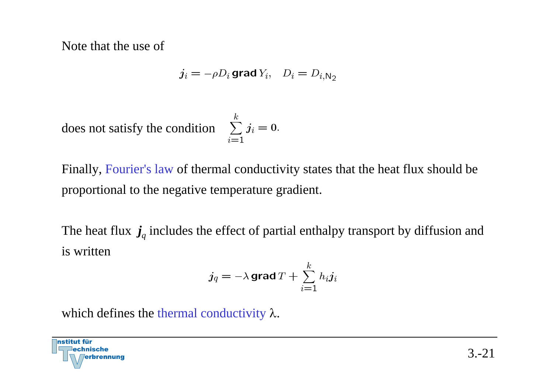Note that the use of

$$
j_i = -\rho D_i \text{ grad } Y_i, \quad D_i = D_{i, N_2}
$$

does not satisfy the condition

$$
\sum_{i=1}^{\kappa}j_i=0.
$$

Finally, Fourier's law of thermal conductivity states that the heat flux should be proportional to the negative temperature gradient.

The heat flux  $j_q$  includes the effect of partial enthalpy transport by diffusion and is written

$$
j_q = -\lambda \operatorname{grad} T + \sum_{i=1}^k h_i j_i
$$

which defines the thermal conductivity  $\lambda$ .

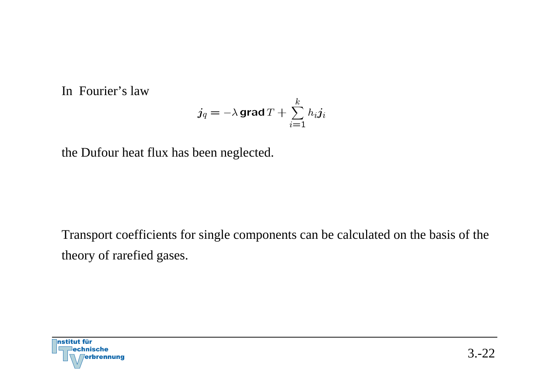In Fourier's law

$$
j_q=-\lambda\,\text{grad}\,T+\sum_{i=1}^kh_i j_i
$$

the Dufour heat flux has been neglected.

Transport coefficients for single components can be calculated on the basis of the theory of rarefied gases.

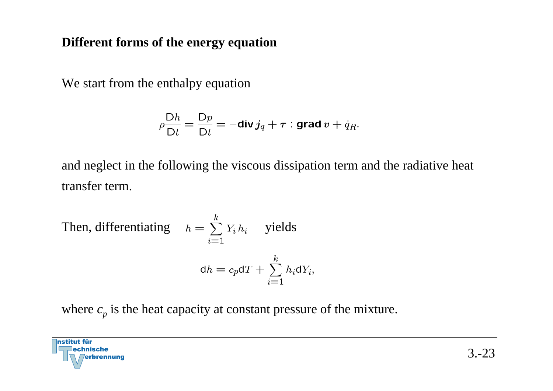# **Different forms of the energy equation**

We start from the enthalpy equation

$$
\rho \frac{\mathsf{D}h}{\mathsf{D}t} = \frac{\mathsf{D}p}{\mathsf{D}t} = -\mathbf{div}\, j_q + \boldsymbol{\tau} : \mathbf{grad}\, v + \dot{q}_R.
$$

and neglect in the following the viscous dissipation term and the radiative heat transfer term.

Then, differentiating 
$$
h = \sum_{i=1}^{k} Y_i h_i
$$
 yields  

$$
dh = c_p dT + \sum_{i=1}^{k} h_i dY_i,
$$

where  $c_p$  is the heat capacity at constant pressure of the mixture.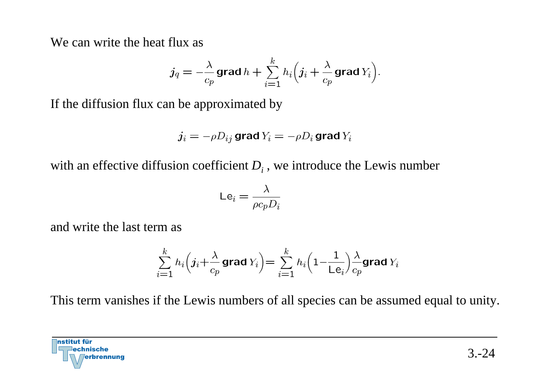We can write the heat flux as

$$
j_q = -\frac{\lambda}{c_p} \mathop{\mathrm{grad}}\nolimits h + \sum_{i=1}^k h_i \Big(j_i + \frac{\lambda}{c_p} \mathop{\mathrm{grad}}\nolimits Y_i\Big).
$$

If the diffusion flux can be approximated by

$$
j_i = -\rho D_{ij} \operatorname{grad} Y_i = -\rho D_i \operatorname{grad} Y_i
$$

with an effective diffusion coefficient  $D_i$  , we introduce the Lewis number

$$
\mathsf{Le}_i = \frac{\lambda}{\rho c_p D_i}
$$

and write the last term as

$$
\sum_{i=1}^k h_i \Big(j_i + \frac{\lambda}{c_p} \mathop{\mathrm{grad}}\nolimits Y_i \Big) = \sum_{i=1}^k h_i \Big(1 - \frac{1}{\text{Le}_i}\Big) \frac{\lambda}{c_p} \mathop{\mathrm{grad}}\nolimits Y_i
$$

This term vanishes if the Lewis numbers of all species can be assumed equal to unity.

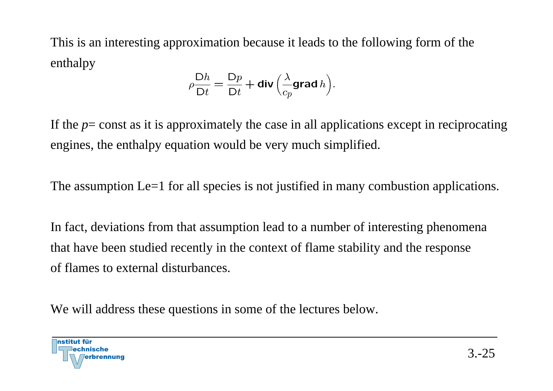This is an interesting approximation because it leads to the following form of the enthalpy

$$
\rho \frac{\mathsf{D}h}{\mathsf{D}t} = \frac{\mathsf{D}p}{\mathsf{D}t} + \mathsf{div}\left(\frac{\lambda}{c_p}\mathsf{grad}\,h\right).
$$

If the *p*= const as it is approximately the case in all applications except in reciprocating engines, the enthalpy equation would be very much simplified.

The assumption Le=1 for all species is not justified in many combustion applications.

In fact, deviations from that assumption lead to a number of interesting phenomena that have been studied recently in the context of flame stability and the response of flames to external disturbances.

We will address these questions in some of the lectures below.

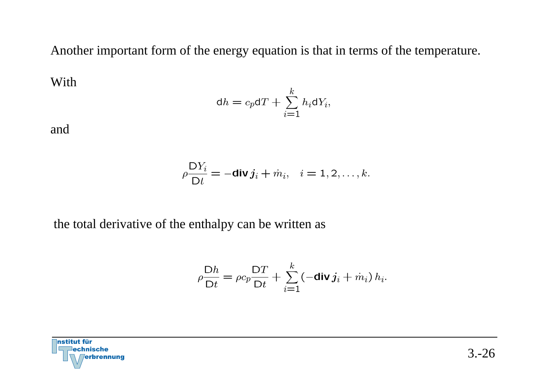Another important form of the energy equation is that in terms of the temperature.

With

$$
\mathrm{d}h = c_p \mathrm{d}T + \sum_{i=1}^k h_i \mathrm{d}Y_i,
$$

and

$$
\rho \frac{\mathsf{D} Y_i}{\mathsf{D} t} = -\mathbf{div} \, \boldsymbol{j}_i + \dot{m}_i, \quad i = 1, 2, \dots, k.
$$

the total derivative of the enthalpy can be written as

$$
\rho \frac{\mathsf{D}h}{\mathsf{D}t} = \rho c_p \frac{\mathsf{D}T}{\mathsf{D}t} + \sum_{i=1}^k \left(-\mathbf{div}\, j_i + \dot{m}_i\right) h_i.
$$

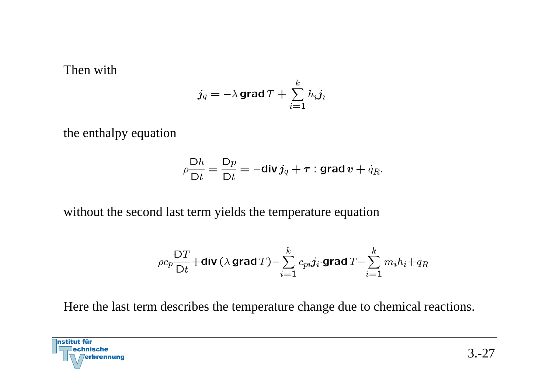#### Then with

$$
j_q = -\lambda \operatorname{grad} T + \sum_{i=1}^k h_i j_i
$$

the enthalpy equation

$$
\rho \frac{\mathsf{D}h}{\mathsf{D}t} = \frac{\mathsf{D}p}{\mathsf{D}t} = -\mathsf{div}\, j_q + \tau : \mathsf{grad}\, v + \dot{q}_R.
$$

without the second last term yields the temperature equation

$$
\rho c_p \frac{\text{D}T}{\text{D}t} + \text{div} \left( \lambda \, \text{grad} \, T \right) - \sum_{i=1}^k \, c_{pi} j_i \cdot \text{grad} \, T - \sum_{i=1}^k \, \dot{m}_i h_i + \dot{q}_R
$$

Here the last term describes the temperature change due to chemical reactions.

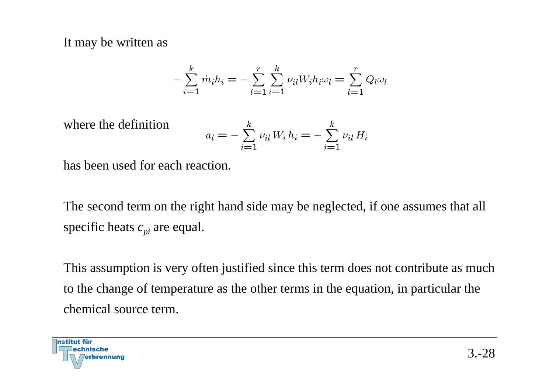It may be written as

$$
-\sum_{i=1}^{k} \dot{m}_i h_i = -\sum_{l=1}^{r} \sum_{i=1}^{k} \nu_{il} W_i h_i \omega_l = \sum_{l=1}^{r} Q_l \omega_l
$$

where the definition

$$
a_{l} = -\sum_{i=1}^{k} \nu_{il} W_{i} h_{i} = -\sum_{i=1}^{k} \nu_{il} H_{i}
$$

has been used for each reaction.

The second term on the right hand side may be neglected, if one assumes that all specific heats  $c_{pi}$  are equal.

This assumption is very often justified since this term does not contribute as much to the change of temperature as the other terms in the equation, in particular the chemical source term.

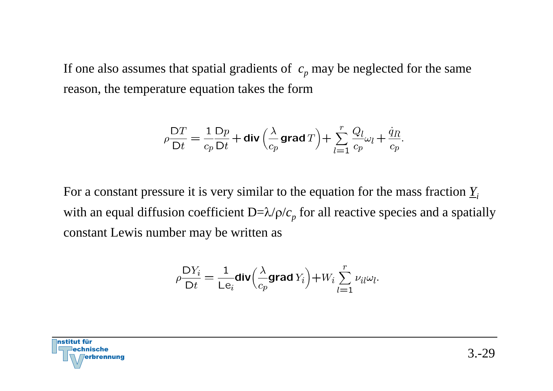If one also assumes that spatial gradients of  $\,c_{p}^{\,}$  may be neglected for the same reason, the temperature equation takes the form

$$
\rho \frac{\mathsf{D} T}{\mathsf{D} t} = \frac{1}{c_p} \frac{\mathsf{D} p}{\mathsf{D} t} + \operatorname{div} \left( \frac{\lambda}{c_p} \operatorname{grad} T \right) + \sum_{l=1}^r \frac{Q_l}{c_p} \omega_l + \frac{\dot{q}_R}{c_p}.
$$

For a constant pressure it is very similar to the equation for the mass fraction *Yi*with an equal diffusion coefficient  $D=\lambda/\rho/c_{p}$  for all reactive species and a spatially constant Lewis number may be written as

$$
\rho \frac{\mathsf{D} Y_i}{\mathsf{D} t} = \frac{1}{\mathsf{L} \mathsf{e}_i} \text{div} \Big( \frac{\lambda}{c_p} \text{grad } Y_i \Big) + W_i \sum_{l=1}^r \nu_{il} \omega_l.
$$

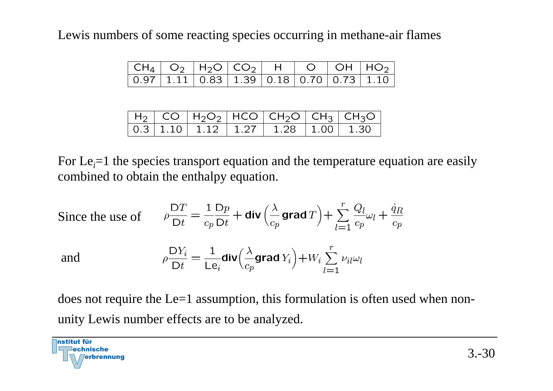Lewis numbers of some reacting species occurring in methane-air flames

|  |  |  | $\boxed{0.97 \mid 1.11 \mid 0.83 \mid 1.39 \mid 0.18 \mid 0.70 \mid 0.73 \mid 1.10}$ |
|--|--|--|--------------------------------------------------------------------------------------|

|  |  |  | $H_2$ CO $H_2O_2$ HCO CH <sub>2</sub> O CH <sub>3</sub> CH <sub>3</sub> O |
|--|--|--|---------------------------------------------------------------------------|
|  |  |  | $\boxed{0.3 \mid 1.10 \mid 1.12 \mid 1.27 \mid 1.28 \mid 1.00 \mid 1.30}$ |

For Le<sub>i</sub>=1 the species transport equation and the temperature equation are easily combined to obtain the enthalpy equation.

Since the use of 
$$
\rho \frac{DT}{Dt} = \frac{1}{c_p} \frac{Dp}{Dt} + \text{div} \left( \frac{\lambda}{c_p} \text{grad } T \right) + \sum_{l=1}^{r} \frac{Q_l}{c_p} \omega_l + \frac{\dot{q}_R}{c_p}
$$
  
and  $\rho \frac{DY_i}{Dt} = \frac{1}{Le_i} \text{div} \left( \frac{\lambda}{c_p} \text{grad } Y_i \right) + W_i \sum_{l=1}^{r} \nu_{il} \omega_l$ 

does not require the Le=1 assumption, this formulation is often used when nonunity Lewis number effects are to be analyzed.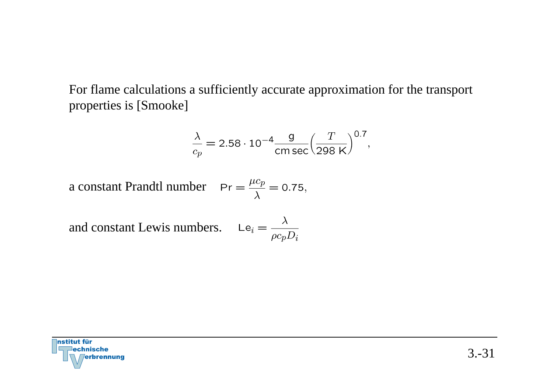For flame calculations a sufficiently accurate approximation for the transport properties is [Smooke]

$$
\frac{\lambda}{c_p} = 2.58 \cdot 10^{-4} \frac{\text{g}}{\text{cm sec}} \left(\frac{T}{298 \text{ K}}\right)^{0.7},
$$

a constant Prandtl number  $Pr = \frac{\mu c_p}{\lambda} = 0.75$ ,

and constant Lewis numbers.

$$
\mathsf{Le}_i = \frac{\lambda}{\rho c_p D_i}
$$

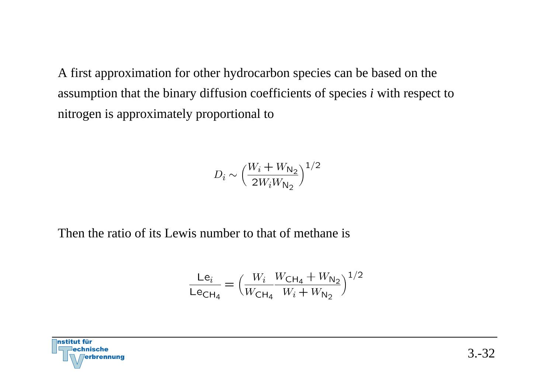A first approximation for other hydrocarbon species can be based on the assumption that the binary diffusion coefficients of species *i* with respec<sup>t</sup> to nitrogen is approximately proportional to

$$
D_i \sim \Big(\frac{W_i+W_{\mathsf{N}_2}}{2W_iW_{\mathsf{N}_2}}\Big)^{1/2}
$$

Then the ratio of its Lewis number to that of methane is

$$
\frac{\text{Le}_{i}}{\text{Le}_{\text{CH}_4}} = \left(\frac{W_i}{W_{\text{CH}_4}} \frac{W_{\text{CH}_4} + W_{\text{N}_2}}{W_i + W_{\text{N}_2}}\right)^{1/2}
$$

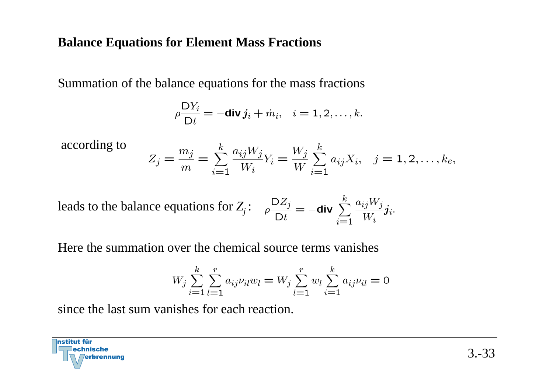### **Balance Equations for Element Mass Fractions**

Summation of the balance equations for the mass fractions

$$
\rho \frac{\mathsf{D} Y_i}{\mathsf{D} t} = -\mathbf{div} \, \mathbf{j}_i + \dot{m}_i, \quad i = 1, 2, \dots, k.
$$

according to

$$
Z_j = \frac{m_j}{m} = \sum_{i=1}^k \frac{a_{ij} W_j}{W_i} Y_i = \frac{W_j}{W} \sum_{i=1}^k a_{ij} X_i, \quad j = 1, 2, \dots, k_e,
$$

leads to the balance equations for 
$$
Z_j
$$
:  $\rho \frac{DZ_j}{Dt} = -\text{div} \sum_{i=1}^k \frac{a_{ij}W_j}{W_i} j_i$ .

Here the summation over the chemical source terms vanishes

$$
W_j \sum_{i=1}^{k} \sum_{l=1}^{r} a_{ij} \nu_{il} w_l = W_j \sum_{l=1}^{r} w_l \sum_{i=1}^{k} a_{ij} \nu_{il} = 0
$$

since the last sum vanishes for each reaction.

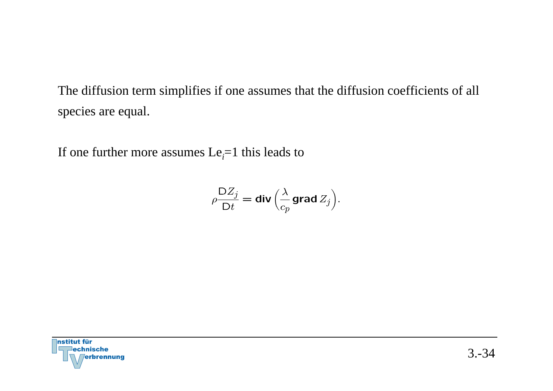The diffusion term simplifies if one assumes that the diffusion coefficients of all species are equal.

If one further more assumes  $Le<sub>i</sub>=1$  this leads to

$$
\rho \frac{\mathsf{D}Z_j}{\mathsf{D}t} = \mathsf{div}\Big(\frac{\lambda}{c_p} \mathsf{grad}\, Z_j\Big).
$$

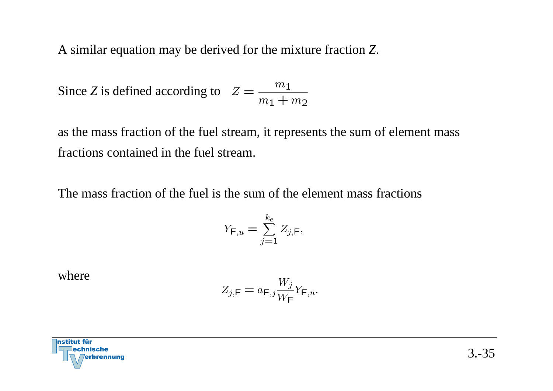A similar equation may be derived for the mixture fraction *Z*.

Since Z is defined according to 
$$
Z = \frac{m_1}{m_1 + m_2}
$$

as the mass fraction of the fuel stream, it represents the sum of element mass fractions contained in the fuel stream.

The mass fraction of the fuel is the sum of the element mass fractions

$$
Y_{\mathsf{F},u} = \sum_{j=1}^{k_e} Z_{j,\mathsf{F}},
$$

where

$$
Z_{j,\mathsf{F}} = a_{\mathsf{F},j} \frac{W_j}{W_{\mathsf{F}}} Y_{\mathsf{F},u}.
$$

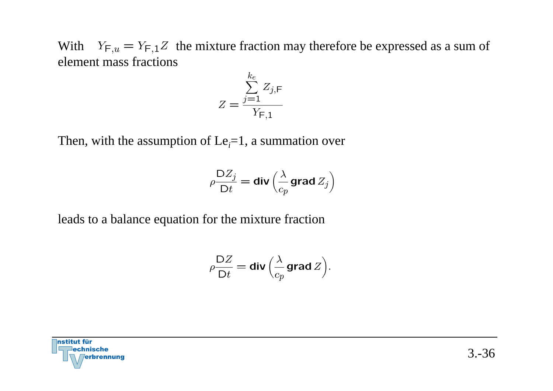With  $Y_{F,u} = Y_{F,1}Z$  the mixture fraction may therefore be expressed as a sum of element mass fractions

$$
Z = \frac{\sum_{j=1}^{k_e} Z_{j,\mathsf{F}}}{Y_{\mathsf{F},1}}
$$

Then, with the assumption of  $Le<sub>i</sub>=1$ , a summation over

$$
\textcolor{blue}{\rho \frac{\mathsf{D} Z_j}{\mathsf{D} t} = \mathsf{div} \left( \frac{\lambda}{c_p} \mathsf{grad}\, \textcolor{red}{Z_j} \right)}
$$

leads to a balance equation for the mixture fraction

$$
\rho \frac{\mathsf{D}Z}{\mathsf{D}t} = \mathsf{div}\left(\frac{\lambda}{c_p} \mathsf{grad}\, Z\right).
$$

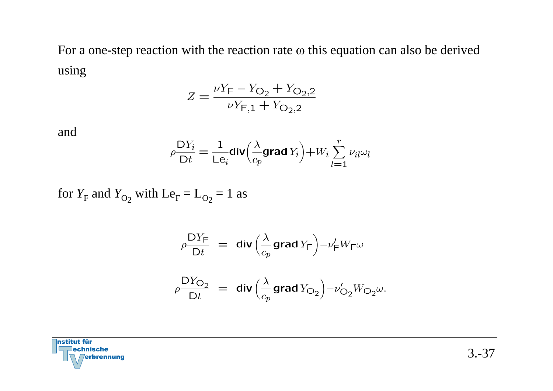For a one-step reaction with the reaction rate  $\omega$  this equation can also be derived using

$$
Z = \frac{\nu Y_{\text{F}} - Y_{\text{O}_2} + Y_{\text{O}_2,2}}{\nu Y_{\text{F},1} + Y_{\text{O}_2,2}}
$$

and

$$
\rho \frac{\mathsf{D} Y_i}{\mathsf{D} t} = \frac{1}{\mathsf{L} \mathsf{e}_i} \text{div} \Big( \frac{\lambda}{c_p} \text{grad } Y_i \Big) + W_i \sum_{l=1}^r \nu_{il} \omega_l
$$

for  $Y_F$  and  $Y_{O_2}$  with  $Le_F = L_{O_2} = 1$  as

$$
\rho \frac{\mathsf{D} Y_{\mathsf{F}}}{\mathsf{D} t} = \mathsf{div} \left( \frac{\lambda}{c_p} \mathsf{grad} Y_{\mathsf{F}} \right) - \nu_{\mathsf{F}}' W_{\mathsf{F}} \omega
$$
\n
$$
\rho \frac{\mathsf{D} Y_{\mathsf{O}_2}}{\mathsf{D} t} = \mathsf{div} \left( \frac{\lambda}{c_p} \mathsf{grad} Y_{\mathsf{O}_2} \right) - \nu_{\mathsf{O}_2}' W_{\mathsf{O}_2} \omega.
$$

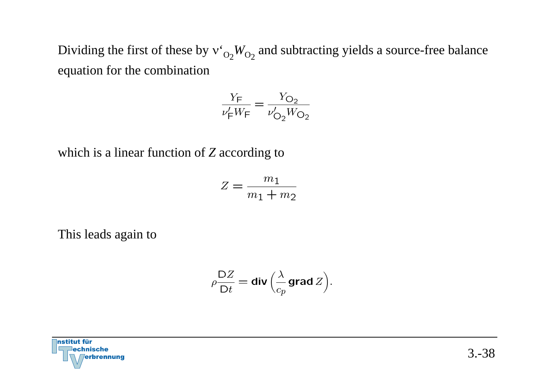Dividing the first of these by  $v_{O_2}^*W_{O_2}$  and subtracting yields a source-free balance equation for the combination

$$
\frac{Y_{\text{F}}}{\nu_{\text{F}}' W_{\text{F}}} = \frac{Y_{\text{O}_2}}{\nu_{\text{O}_2}' W_{\text{O}_2}}
$$

which is a linear function of  $Z$  according to

$$
Z = \frac{m_1}{m_1 + m_2}
$$

This leads again to

$$
\rho \frac{\mathsf{D}Z}{\mathsf{D}t} = \mathsf{div}\left(\frac{\lambda}{c_p}\mathsf{grad}\,Z\right).
$$

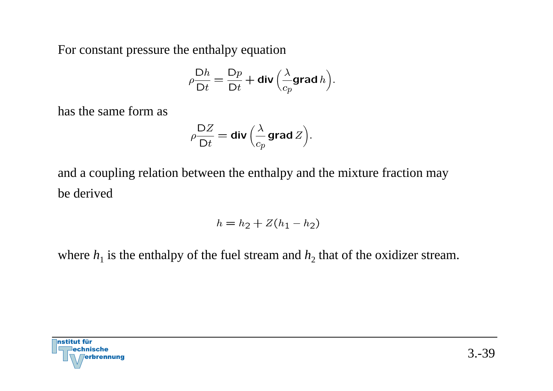For constant pressure the enthalpy equation

$$
\rho \frac{\mathsf{D}h}{\mathsf{D}t} = \frac{\mathsf{D}p}{\mathsf{D}t} + \mathsf{div}\left(\frac{\lambda}{c_p}\mathsf{grad}\,h\right).
$$

has the same form as

$$
\rho \frac{\mathsf{D}Z}{\mathsf{D}t} = \mathsf{div}\left(\frac{\lambda}{c_p}\mathsf{grad}\,Z\right).
$$

and a coupling relation between the enthalpy and the mixture fraction may be derived

$$
h = h_2 + Z(h_1 - h_2)
$$

where  $h_1$  is the enthalpy of the fuel stream and  $h_2$  that of the oxidizer stream.

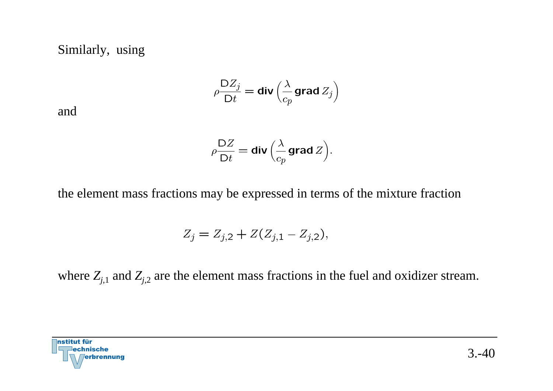Similarly, using

$$
\rho \frac{\mathsf{D} Z_j}{\mathsf{D} t} = \mathop{\mathrm{div}}\nolimits\left(\frac{\lambda}{c_p}\mathop{\mathrm{grad}}\nolimits Z_j\right)
$$

and

$$
\rho \frac{\mathsf{D}Z}{\mathsf{D}t} = \mathsf{div}\left(\frac{\lambda}{c_p} \mathsf{grad}\, Z\right).
$$

the element mass fractions may be expressed in terms of the mixture fraction

$$
Z_j = Z_{j,2} + Z(Z_{j,1} - Z_{j,2}),
$$

where  $Z_{j,1}$  and  $Z_{j,2}$  are the element mass fractions in the fuel and oxidizer stream.

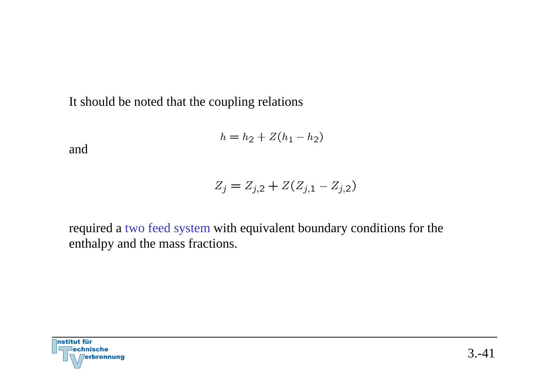It should be noted that the coupling relations

$$
h = h_2 + Z(h_1 - h_2)
$$

and

$$
Z_j = Z_{j,2} + Z(Z_{j,1} - Z_{j,2})
$$

required a two feed system with equivalent boundary conditions for the enthalpy and the mass fractions.